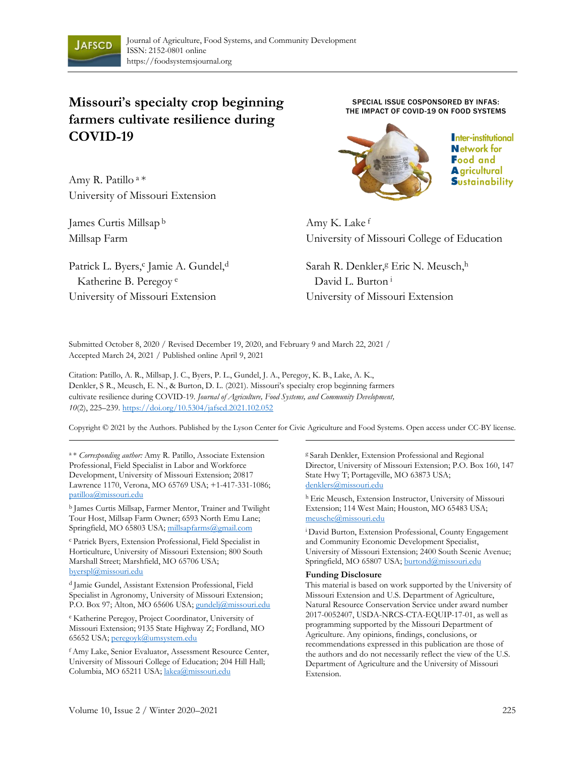

# **Missouri's specialty crop beginning farmers cultivate resilience during COVID-19**

Amy R. Patillo <sup>a</sup>\* University of Missouri Extension

James Curtis Millsap <sup>b</sup> Millsap Farm

Patrick L. Byers,<sup>c</sup> Jamie A. Gundel,<sup>d</sup> Katherine B. Peregoy <sup>e</sup> University of Missouri Extension

SPECIAL ISSUE COSPONSORED BY INFAS: THE IMPACT OF COVID-19 ON FOOD SYSTEMS



Inter-institutional **Network for Food and A** gricultural **Sustainability** 

Amy K. Lake <sup>f</sup> University of Missouri College of Education

Sarah R. Denkler, <sup>g</sup> Eric N. Meusch, h David L. Burton<sup>i</sup> University of Missouri Extension

Submitted October 8, 2020 / Revised December 19, 2020, and February 9 and March 22, 2021 / Accepted March 24, 2021 / Published online April 9, 2021

Citation: Patillo, A. R., Millsap, J. C., Byers, P. L., Gundel, J. A., Peregoy, K. B., Lake, A. K., Denkler, S R., Meusch, E. N., & Burton, D. L. (2021). Missouri's specialty crop beginning farmers cultivate resilience during COVID-19. *Journal of Agriculture, Food Systems, and Community Development, 10*(2), 225–[239. https://doi.org/10.5304/jafsc](https://doi.org/10.5304/jafscd.2021.102.053)d.2021.102.052

Copyright © 2021 by the Authors. Published by the Lyson Center for Civic Agriculture and Food Systems. Open access under CC-BY license.

<sup>a</sup>\* *Corresponding author:* Amy R. Patillo, Associate Extension Professional, Field Specialist in Labor and Workforce Development, University of Missouri Extension; 20817 Lawrence 1170, Verona, MO 65769 USA; +1-417-331-1086; [patilloa@missouri.edu](mailto:patilloa@missouri.edu)

b James Curtis Millsap, Farmer Mentor, Trainer and Twilight Tour Host, Millsap Farm Owner; 6593 North Emu Lane; Springfield, MO 65803 USA[; millsapfarms@gmail.com](mailto:millsapfarms@gmail.com)

<sup>c</sup>Patrick Byers, Extension Professional, Field Specialist in Horticulture, University of Missouri Extension; 800 South Marshall Street; Marshfield, MO 65706 USA; [byerspl@missouri.edu](mailto:byerspl@missouri.edu)

<sup>d</sup> Jamie Gundel, Assistant Extension Professional, Field Specialist in Agronomy, University of Missouri Extension; P.O. Box 97; Alton, MO 65606 USA; [gundelj@missouri.edu](mailto:gundelj@missouri.edu)

<sup>e</sup>Katherine Peregoy, Project Coordinator, University of Missouri Extension; 9135 State Highway Z; Fordland, MO 65652 USA[; peregoyk@umsystem.edu](mailto:peregoyk@umsystem.edu)

<sup>f</sup>Amy Lake, Senior Evaluator, Assessment Resource Center, University of Missouri College of Education; 204 Hill Hall; Columbia, MO 65211 USA[; lakea@missouri.edu](mailto:lakea@missouri.edu)

g Sarah Denkler, Extension Professional and Regional Director, University of Missouri Extension; P.O. Box 160, 147 State Hwy T; Portageville, MO 63873 USA; [denklers@missouri.edu](mailto:denklers@missouri.edu)

h Eric Meusch, Extension Instructor, University of Missouri Extension; 114 West Main; Houston, MO 65483 USA; meusche@missouri.edu

<sup>i</sup> David Burton, Extension Professional, County Engagement and Community Economic Development Specialist, University of Missouri Extension; 2400 South Scenic Avenue; Springfield, MO 65807 USA; [burtond@missouri.edu](mailto:burtond@missouri.edu)

#### **Funding Disclosure**

This material is based on work supported by the University of Missouri Extension and U.S. Department of Agriculture, Natural Resource Conservation Service under award number 2017-0052407, USDA-NRCS-CTA-EQUIP-17-01, as well as programming supported by the Missouri Department of Agriculture. Any opinions, findings, conclusions, or recommendations expressed in this publication are those of the authors and do not necessarily reflect the view of the U.S. Department of Agriculture and the University of Missouri Extension.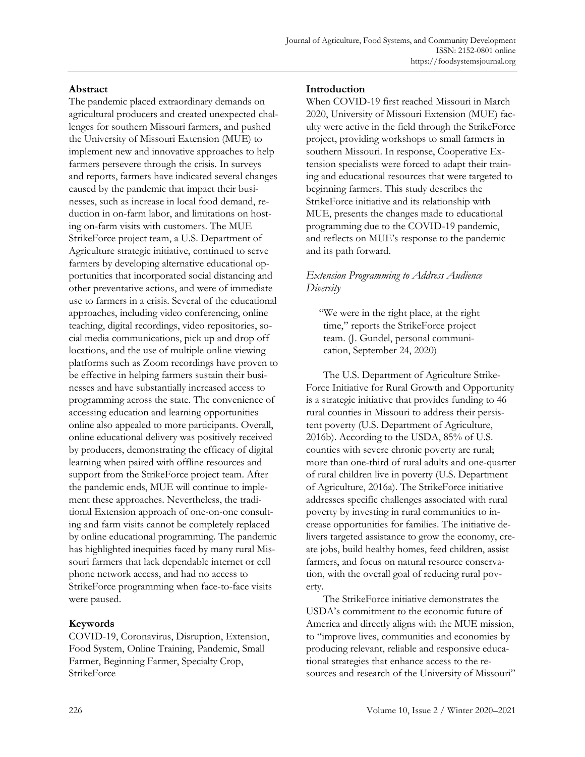#### **Abstract**

The pandemic placed extraordinary demands on agricultural producers and created unexpected challenges for southern Missouri farmers, and pushed the University of Missouri Extension (MUE) to implement new and innovative approaches to help farmers persevere through the crisis. In surveys and reports, farmers have indicated several changes caused by the pandemic that impact their businesses, such as increase in local food demand, reduction in on-farm labor, and limitations on hosting on-farm visits with customers. The MUE StrikeForce project team, a U.S. Department of Agriculture strategic initiative, continued to serve farmers by developing alternative educational opportunities that incorporated social distancing and other preventative actions, and were of immediate use to farmers in a crisis. Several of the educational approaches, including video conferencing, online teaching, digital recordings, video repositories, social media communications, pick up and drop off locations, and the use of multiple online viewing platforms such as Zoom recordings have proven to be effective in helping farmers sustain their businesses and have substantially increased access to programming across the state. The convenience of accessing education and learning opportunities online also appealed to more participants. Overall, online educational delivery was positively received by producers, demonstrating the efficacy of digital learning when paired with offline resources and support from the StrikeForce project team. After the pandemic ends, MUE will continue to implement these approaches. Nevertheless, the traditional Extension approach of one-on-one consulting and farm visits cannot be completely replaced by online educational programming. The pandemic has highlighted inequities faced by many rural Missouri farmers that lack dependable internet or cell phone network access, and had no access to StrikeForce programming when face-to-face visits were paused.

#### **Keywords**

COVID-19, Coronavirus, Disruption, Extension, Food System, Online Training, Pandemic, Small Farmer, Beginning Farmer, Specialty Crop, **StrikeForce** 

#### **Introduction**

When COVID-19 first reached Missouri in March 2020, University of Missouri Extension (MUE) faculty were active in the field through the StrikeForce project, providing workshops to small farmers in southern Missouri. In response, Cooperative Extension specialists were forced to adapt their training and educational resources that were targeted to beginning farmers. This study describes the StrikeForce initiative and its relationship with MUE, presents the changes made to educational programming due to the COVID-19 pandemic, and reflects on MUE's response to the pandemic and its path forward.

#### *Extension Programming to Address Audience Diversity*

"We were in the right place, at the right time," reports the StrikeForce project team. (J. Gundel, personal communication, September 24, 2020)

The U.S. Department of Agriculture Strike-Force Initiative for Rural Growth and Opportunity is a strategic initiative that provides funding to 46 rural counties in Missouri to address their persistent poverty (U.S. Department of Agriculture, 2016b). According to the USDA, 85% of U.S. counties with severe chronic poverty are rural; more than one-third of rural adults and one-quarter of rural children live in poverty (U.S. Department of Agriculture, 2016a). The StrikeForce initiative addresses specific challenges associated with rural poverty by investing in rural communities to increase opportunities for families. The initiative delivers targeted assistance to grow the economy, create jobs, build healthy homes, feed children, assist farmers, and focus on natural resource conservation, with the overall goal of reducing rural poverty.

The StrikeForce initiative demonstrates the USDA's commitment to the economic future of America and directly aligns with the MUE mission, to "improve lives, communities and economies by producing relevant, reliable and responsive educational strategies that enhance access to the resources and research of the University of Missouri"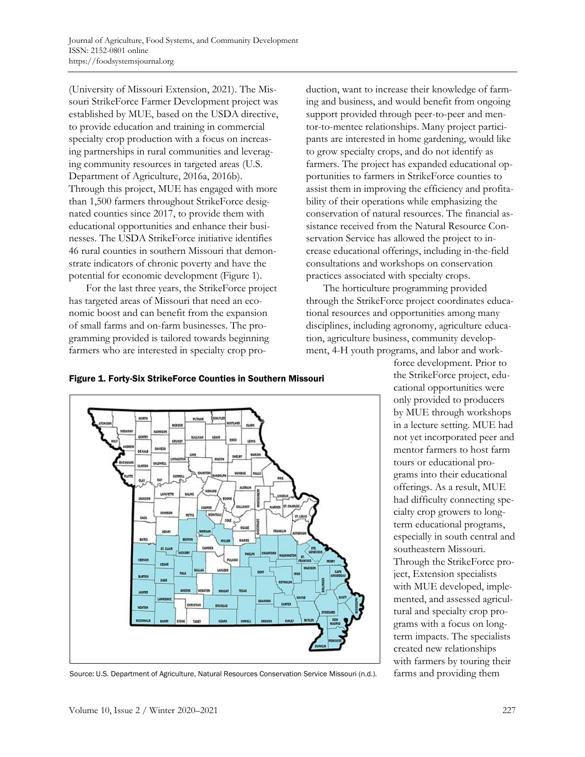(University of Missouri Extension, 2021). The Missouri StrikeForce Farmer Development project was established by MUE, based on the USDA directive, to provide education and training in commercial specialty crop production with a focus on increasing partnerships in rural communities and leveraging community resources in targeted areas (U.S. Department of Agriculture, 2016a, 2016b). Through this project, MUE has engaged with more than 1,500 farmers throughout StrikeForce designated counties since 2017, to provide them with educational opportunities and enhance their businesses. The USDA StrikeForce initiative identifies 46 rural counties in southern Missouri that demonstrate indicators of chronic poverty and have the potential for economic development (Figure 1).

For the last three years, the StrikeForce project has targeted areas of Missouri that need an economic boost and can benefit from the expansion of small farms and on-farm businesses. The programming provided is tailored towards beginning farmers who are interested in specialty crop production, want to increase their knowledge of farming and business, and would benefit from ongoing support provided through peer-to-peer and mentor-to-mentee relationships. Many project participants are interested in home gardening, would like to grow specialty crops, and do not identify as farmers. The project has expanded educational opportunities to farmers in StrikeForce counties to assist them in improving the efficiency and profitability of their operations while emphasizing the conservation of natural resources. The financial assistance received from the Natural Resource Conservation Service has allowed the project to increase educational offerings, including in-the-field consultations and workshops on conservation practices associated with specialty crops.

The horticulture programming provided through the StrikeForce project coordinates educational resources and opportunities among many disciplines, including agronomy, agriculture education, agriculture business, community development, 4-H youth programs, and labor and work-



Figure 1. Forty-Six StrikeForce Counties in Southern Missouri



Source: U.S. Department of Agriculture, Natural Resources Conservation Service Missouri (n.d.). farms and providing them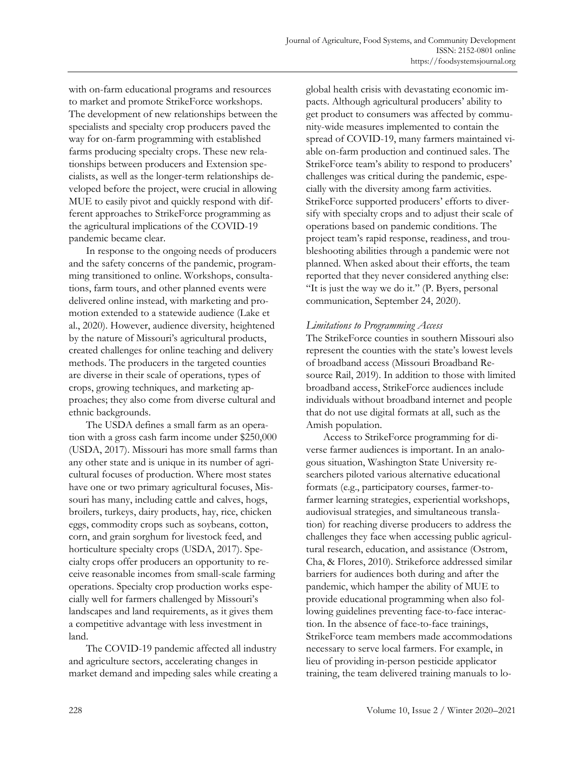with on-farm educational programs and resources to market and promote StrikeForce workshops. The development of new relationships between the specialists and specialty crop producers paved the way for on-farm programming with established farms producing specialty crops. These new relationships between producers and Extension specialists, as well as the longer-term relationships developed before the project, were crucial in allowing MUE to easily pivot and quickly respond with different approaches to StrikeForce programming as the agricultural implications of the COVID-19 pandemic became clear.

In response to the ongoing needs of producers and the safety concerns of the pandemic, programming transitioned to online. Workshops, consultations, farm tours, and other planned events were delivered online instead, with marketing and promotion extended to a statewide audience (Lake et al., 2020). However, audience diversity, heightened by the nature of Missouri's agricultural products, created challenges for online teaching and delivery methods. The producers in the targeted counties are diverse in their scale of operations, types of crops, growing techniques, and marketing approaches; they also come from diverse cultural and ethnic backgrounds.

The USDA defines a small farm as an operation with a gross cash farm income under \$250,000 (USDA, 2017). Missouri has more small farms than any other state and is unique in its number of agricultural focuses of production. Where most states have one or two primary agricultural focuses, Missouri has many, including cattle and calves, hogs, broilers, turkeys, dairy products, hay, rice, chicken eggs, commodity crops such as soybeans, cotton, corn, and grain sorghum for livestock feed, and horticulture specialty crops (USDA, 2017). Specialty crops offer producers an opportunity to receive reasonable incomes from small-scale farming operations. Specialty crop production works especially well for farmers challenged by Missouri's landscapes and land requirements, as it gives them a competitive advantage with less investment in land.

The COVID-19 pandemic affected all industry and agriculture sectors, accelerating changes in market demand and impeding sales while creating a

global health crisis with devastating economic impacts. Although agricultural producers' ability to get product to consumers was affected by community-wide measures implemented to contain the spread of COVID-19, many farmers maintained viable on-farm production and continued sales. The StrikeForce team's ability to respond to producers' challenges was critical during the pandemic, especially with the diversity among farm activities. StrikeForce supported producers' efforts to diversify with specialty crops and to adjust their scale of operations based on pandemic conditions. The project team's rapid response, readiness, and troubleshooting abilities through a pandemic were not planned. When asked about their efforts, the team reported that they never considered anything else: "It is just the way we do it." (P. Byers, personal communication, September 24, 2020).

#### *Limitations to Programming Access*

The StrikeForce counties in southern Missouri also represent the counties with the state's lowest levels of broadband access (Missouri Broadband Resource Rail, 2019). In addition to those with limited broadband access, StrikeForce audiences include individuals without broadband internet and people that do not use digital formats at all, such as the Amish population.

Access to StrikeForce programming for diverse farmer audiences is important. In an analogous situation, Washington State University researchers piloted various alternative educational formats (e.g., participatory courses, farmer-tofarmer learning strategies, experiential workshops, audiovisual strategies, and simultaneous translation) for reaching diverse producers to address the challenges they face when accessing public agricultural research, education, and assistance (Ostrom, Cha, & Flores, 2010). Strikeforce addressed similar barriers for audiences both during and after the pandemic, which hamper the ability of MUE to provide educational programming when also following guidelines preventing face-to-face interaction. In the absence of face-to-face trainings, StrikeForce team members made accommodations necessary to serve local farmers. For example, in lieu of providing in-person pesticide applicator training, the team delivered training manuals to lo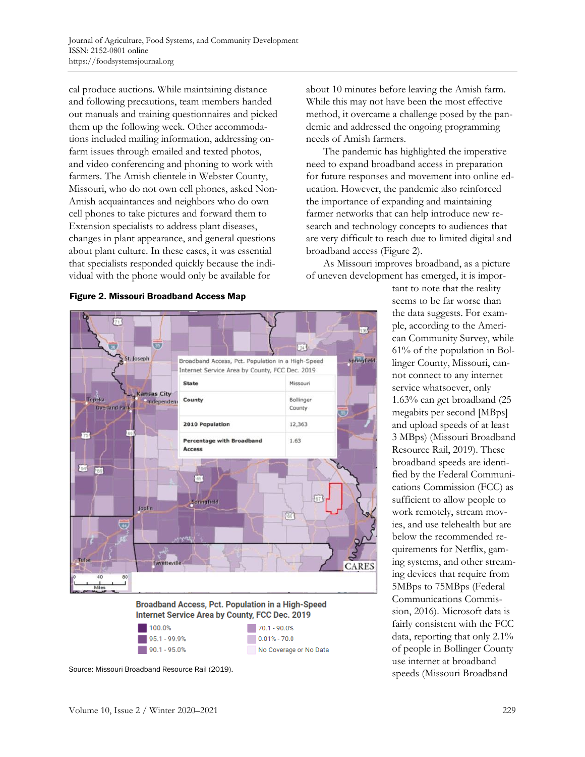cal produce auctions. While maintaining distance and following precautions, team members handed out manuals and training questionnaires and picked them up the following week. Other accommodations included mailing information, addressing onfarm issues through emailed and texted photos, and video conferencing and phoning to work with farmers. The Amish clientele in Webster County, Missouri, who do not own cell phones, asked Non-Amish acquaintances and neighbors who do own cell phones to take pictures and forward them to Extension specialists to address plant diseases, changes in plant appearance, and general questions about plant culture. In these cases, it was essential that specialists responded quickly because the individual with the phone would only be available for







 $70.1 - 90.0%$  $\Box$  0.01% - 70.0 No Coverage or No Data

The pandemic has highlighted the imperative need to expand broadband access in preparation for future responses and movement into online education. However, the pandemic also reinforced the importance of expanding and maintaining farmer networks that can help introduce new research and technology concepts to audiences that are very difficult to reach due to limited digital and broadband access (Figure 2).

As Missouri improves broadband, as a picture of uneven development has emerged, it is impor-

tant to note that the reality seems to be far worse than the data suggests. For example, according to the American Community Survey, while 61% of the population in Bollinger County, Missouri, cannot connect to any internet service whatsoever, only 1.63% can get broadband (25 megabits per second [MBps] and upload speeds of at least 3 MBps) (Missouri Broadband Resource Rail, 2019). These broadband speeds are identified by the Federal Communications Commission (FCC) as sufficient to allow people to work remotely, stream movies, and use telehealth but are below the recommended requirements for Netflix, gaming systems, and other streaming devices that require from 5MBps to 75MBps (Federal Communications Commission, 2016). Microsoft data is fairly consistent with the FCC data, reporting that only 2.1% of people in Bollinger County use internet at broadband Source: Missouri Broadband Resource Rail (2019). Source: Missouri Broadband Speeds (Missouri Broadband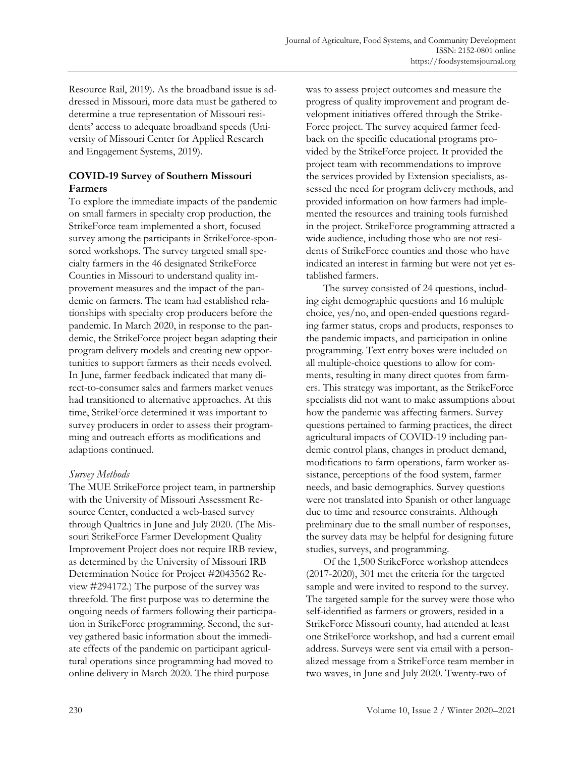Resource Rail, 2019). As the broadband issue is addressed in Missouri, more data must be gathered to determine a true representation of Missouri residents' access to adequate broadband speeds (University of Missouri Center for Applied Research and Engagement Systems, 2019).

### **COVID-19 Survey of Southern Missouri Farmers**

To explore the immediate impacts of the pandemic on small farmers in specialty crop production, the StrikeForce team implemented a short, focused survey among the participants in StrikeForce-sponsored workshops. The survey targeted small specialty farmers in the 46 designated StrikeForce Counties in Missouri to understand quality improvement measures and the impact of the pandemic on farmers. The team had established relationships with specialty crop producers before the pandemic. In March 2020, in response to the pandemic, the StrikeForce project began adapting their program delivery models and creating new opportunities to support farmers as their needs evolved. In June, farmer feedback indicated that many direct-to-consumer sales and farmers market venues had transitioned to alternative approaches. At this time, StrikeForce determined it was important to survey producers in order to assess their programming and outreach efforts as modifications and adaptions continued.

#### *Survey Methods*

The MUE StrikeForce project team, in partnership with the University of Missouri Assessment Resource Center, conducted a web-based survey through Qualtrics in June and July 2020. (The Missouri StrikeForce Farmer Development Quality Improvement Project does not require IRB review, as determined by the University of Missouri IRB Determination Notice for Project #2043562 Review #294172.) The purpose of the survey was threefold. The first purpose was to determine the ongoing needs of farmers following their participation in StrikeForce programming. Second, the survey gathered basic information about the immediate effects of the pandemic on participant agricultural operations since programming had moved to online delivery in March 2020. The third purpose

was to assess project outcomes and measure the progress of quality improvement and program development initiatives offered through the Strike-Force project. The survey acquired farmer feedback on the specific educational programs provided by the StrikeForce project. It provided the project team with recommendations to improve the services provided by Extension specialists, assessed the need for program delivery methods, and provided information on how farmers had implemented the resources and training tools furnished in the project. StrikeForce programming attracted a wide audience, including those who are not residents of StrikeForce counties and those who have indicated an interest in farming but were not yet established farmers.

The survey consisted of 24 questions, including eight demographic questions and 16 multiple choice, yes/no, and open-ended questions regarding farmer status, crops and products, responses to the pandemic impacts, and participation in online programming. Text entry boxes were included on all multiple-choice questions to allow for comments, resulting in many direct quotes from farmers. This strategy was important, as the StrikeForce specialists did not want to make assumptions about how the pandemic was affecting farmers. Survey questions pertained to farming practices, the direct agricultural impacts of COVID-19 including pandemic control plans, changes in product demand, modifications to farm operations, farm worker assistance, perceptions of the food system, farmer needs, and basic demographics. Survey questions were not translated into Spanish or other language due to time and resource constraints. Although preliminary due to the small number of responses, the survey data may be helpful for designing future studies, surveys, and programming.

Of the 1,500 StrikeForce workshop attendees (2017-2020), 301 met the criteria for the targeted sample and were invited to respond to the survey. The targeted sample for the survey were those who self-identified as farmers or growers, resided in a StrikeForce Missouri county, had attended at least one StrikeForce workshop, and had a current email address. Surveys were sent via email with a personalized message from a StrikeForce team member in two waves, in June and July 2020. Twenty-two of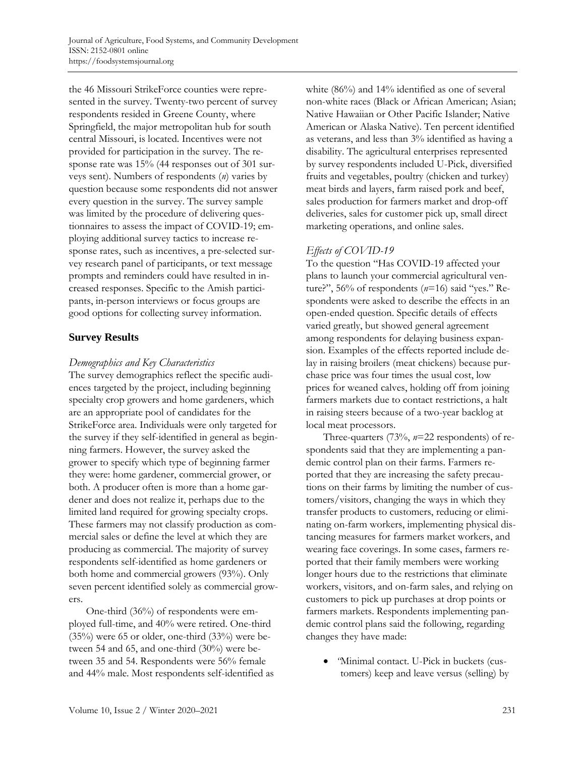the 46 Missouri StrikeForce counties were represented in the survey. Twenty-two percent of survey respondents resided in Greene County, where Springfield, the major metropolitan hub for south central Missouri, is located. Incentives were not provided for participation in the survey. The response rate was 15% (44 responses out of 301 surveys sent). Numbers of respondents (*n*) varies by question because some respondents did not answer every question in the survey. The survey sample was limited by the procedure of delivering questionnaires to assess the impact of COVID-19; employing additional survey tactics to increase response rates, such as incentives, a pre-selected survey research panel of participants, or text message prompts and reminders could have resulted in increased responses. Specific to the Amish participants, in-person interviews or focus groups are good options for collecting survey information.

# **Survey Results**

# *Demographics and Key Characteristics*

The survey demographics reflect the specific audiences targeted by the project, including beginning specialty crop growers and home gardeners, which are an appropriate pool of candidates for the StrikeForce area. Individuals were only targeted for the survey if they self-identified in general as beginning farmers. However, the survey asked the grower to specify which type of beginning farmer they were: home gardener, commercial grower, or both. A producer often is more than a home gardener and does not realize it, perhaps due to the limited land required for growing specialty crops. These farmers may not classify production as commercial sales or define the level at which they are producing as commercial. The majority of survey respondents self-identified as home gardeners or both home and commercial growers (93%). Only seven percent identified solely as commercial growers.

One-third (36%) of respondents were employed full-time, and 40% were retired. One-third (35%) were 65 or older, one-third (33%) were between 54 and 65, and one-third (30%) were between 35 and 54. Respondents were 56% female and 44% male. Most respondents self-identified as white (86%) and 14% identified as one of several non-white races (Black or African American; Asian; Native Hawaiian or Other Pacific Islander; Native American or Alaska Native). Ten percent identified as veterans, and less than 3% identified as having a disability. The agricultural enterprises represented by survey respondents included U-Pick, diversified fruits and vegetables, poultry (chicken and turkey) meat birds and layers, farm raised pork and beef, sales production for farmers market and drop-off deliveries, sales for customer pick up, small direct marketing operations, and online sales.

# *Effects of COVID-19*

To the question "Has COVID-19 affected your plans to launch your commercial agricultural venture?", 56% of respondents (*n*=16) said "yes." Respondents were asked to describe the effects in an open-ended question. Specific details of effects varied greatly, but showed general agreement among respondents for delaying business expansion. Examples of the effects reported include delay in raising broilers (meat chickens) because purchase price was four times the usual cost, low prices for weaned calves, holding off from joining farmers markets due to contact restrictions, a halt in raising steers because of a two-year backlog at local meat processors.

Three-quarters (73%, *n*=22 respondents) of respondents said that they are implementing a pandemic control plan on their farms. Farmers reported that they are increasing the safety precautions on their farms by limiting the number of customers/visitors, changing the ways in which they transfer products to customers, reducing or eliminating on-farm workers, implementing physical distancing measures for farmers market workers, and wearing face coverings. In some cases, farmers reported that their family members were working longer hours due to the restrictions that eliminate workers, visitors, and on-farm sales, and relying on customers to pick up purchases at drop points or farmers markets. Respondents implementing pandemic control plans said the following, regarding changes they have made:

• *"*Minimal contact. U-Pick in buckets (customers) keep and leave versus (selling) by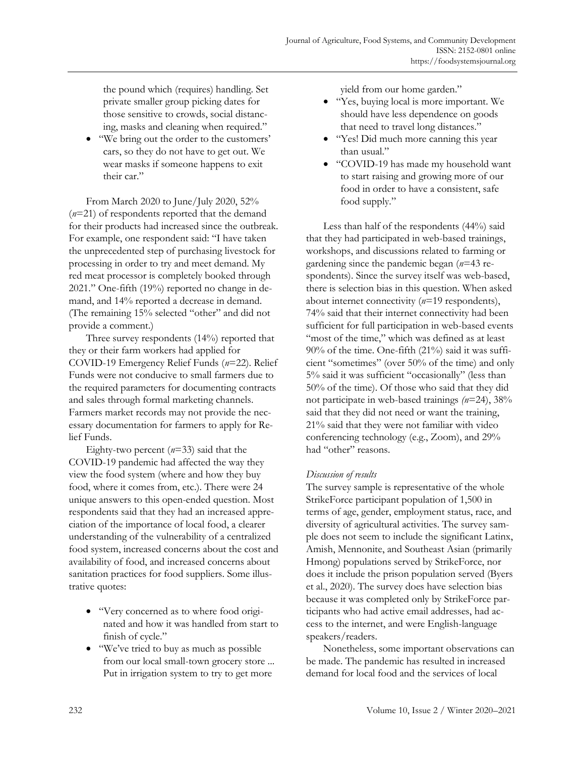the pound which (requires) handling. Set private smaller group picking dates for those sensitive to crowds, social distancing, masks and cleaning when required."

• "We bring out the order to the customers' cars, so they do not have to get out. We wear masks if someone happens to exit their car."

From March 2020 to June/July 2020, 52% (*n*=21) of respondents reported that the demand for their products had increased since the outbreak. For example, one respondent said: "I have taken the unprecedented step of purchasing livestock for processing in order to try and meet demand. My red meat processor is completely booked through 2021." One-fifth (19%) reported no change in demand, and 14% reported a decrease in demand. (The remaining 15% selected "other" and did not provide a comment.)

Three survey respondents (14%) reported that they or their farm workers had applied for COVID-19 Emergency Relief Funds (*n*=22). Relief Funds were not conducive to small farmers due to the required parameters for documenting contracts and sales through formal marketing channels. Farmers market records may not provide the necessary documentation for farmers to apply for Relief Funds.

Eighty-two percent (*n*=33) said that the COVID-19 pandemic had affected the way they view the food system (where and how they buy food, where it comes from, etc.). There were 24 unique answers to this open-ended question. Most respondents said that they had an increased appreciation of the importance of local food, a clearer understanding of the vulnerability of a centralized food system, increased concerns about the cost and availability of food, and increased concerns about sanitation practices for food suppliers. Some illustrative quotes:

- "Very concerned as to where food originated and how it was handled from start to finish of cycle."
- "We've tried to buy as much as possible from our local small-town grocery store ... Put in irrigation system to try to get more

yield from our home garden."

- "Yes, buying local is more important. We should have less dependence on goods that need to travel long distances."
- "Yes! Did much more canning this year than usual."
- "COVID-19 has made my household want to start raising and growing more of our food in order to have a consistent, safe food supply."

Less than half of the respondents (44%) said that they had participated in web-based trainings, workshops, and discussions related to farming or gardening since the pandemic began (*n*=43 respondents). Since the survey itself was web-based, there is selection bias in this question. When asked about internet connectivity (*n*=19 respondents), 74% said that their internet connectivity had been sufficient for full participation in web-based events "most of the time," which was defined as at least 90% of the time. One-fifth (21%) said it was sufficient "sometimes" (over 50% of the time) and only 5% said it was sufficient "occasionally" (less than 50% of the time). Of those who said that they did not participate in web-based trainings *(n*=24), 38% said that they did not need or want the training, 21% said that they were not familiar with video conferencing technology (e.g., Zoom), and 29% had "other" reasons.

#### *Discussion of results*

The survey sample is representative of the whole StrikeForce participant population of 1,500 in terms of age, gender, employment status, race, and diversity of agricultural activities. The survey sample does not seem to include the significant Latinx, Amish, Mennonite, and Southeast Asian (primarily Hmong) populations served by StrikeForce, nor does it include the prison population served (Byers et al., 2020). The survey does have selection bias because it was completed only by StrikeForce participants who had active email addresses, had access to the internet, and were English-language speakers/readers.

Nonetheless, some important observations can be made. The pandemic has resulted in increased demand for local food and the services of local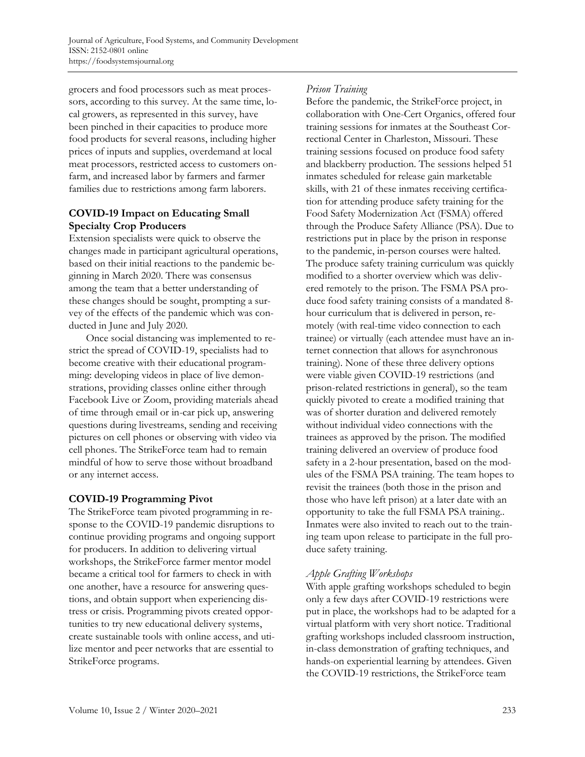grocers and food processors such as meat processors, according to this survey. At the same time, local growers, as represented in this survey, have been pinched in their capacities to produce more food products for several reasons, including higher prices of inputs and supplies, overdemand at local meat processors, restricted access to customers onfarm, and increased labor by farmers and farmer families due to restrictions among farm laborers.

### **COVID-19 Impact on Educating Small Specialty Crop Producers**

Extension specialists were quick to observe the changes made in participant agricultural operations, based on their initial reactions to the pandemic beginning in March 2020. There was consensus among the team that a better understanding of these changes should be sought, prompting a survey of the effects of the pandemic which was conducted in June and July 2020.

Once social distancing was implemented to restrict the spread of COVID-19, specialists had to become creative with their educational programming: developing videos in place of live demonstrations, providing classes online either through Facebook Live or Zoom, providing materials ahead of time through email or in-car pick up, answering questions during livestreams, sending and receiving pictures on cell phones or observing with video via cell phones. The StrikeForce team had to remain mindful of how to serve those without broadband or any internet access.

# **COVID-19 Programming Pivot**

The StrikeForce team pivoted programming in response to the COVID-19 pandemic disruptions to continue providing programs and ongoing support for producers. In addition to delivering virtual workshops, the StrikeForce farmer mentor model became a critical tool for farmers to check in with one another, have a resource for answering questions, and obtain support when experiencing distress or crisis. Programming pivots created opportunities to try new educational delivery systems, create sustainable tools with online access, and utilize mentor and peer networks that are essential to StrikeForce programs.

### *Prison Training*

Before the pandemic, the StrikeForce project, in collaboration with One-Cert Organics, offered four training sessions for inmates at the Southeast Correctional Center in Charleston, Missouri. These training sessions focused on produce food safety and blackberry production. The sessions helped 51 inmates scheduled for release gain marketable skills, with 21 of these inmates receiving certification for attending produce safety training for the Food Safety Modernization Act (FSMA) offered through the Produce Safety Alliance (PSA). Due to restrictions put in place by the prison in response to the pandemic, in-person courses were halted. The produce safety training curriculum was quickly modified to a shorter overview which was delivered remotely to the prison. The FSMA PSA produce food safety training consists of a mandated 8 hour curriculum that is delivered in person, remotely (with real-time video connection to each trainee) or virtually (each attendee must have an internet connection that allows for asynchronous training). None of these three delivery options were viable given COVID-19 restrictions (and prison-related restrictions in general), so the team quickly pivoted to create a modified training that was of shorter duration and delivered remotely without individual video connections with the trainees as approved by the prison. The modified training delivered an overview of produce food safety in a 2-hour presentation, based on the modules of the FSMA PSA training. The team hopes to revisit the trainees (both those in the prison and those who have left prison) at a later date with an opportunity to take the full FSMA PSA training.. Inmates were also invited to reach out to the training team upon release to participate in the full produce safety training.

# *Apple Grafting Workshops*

With apple grafting workshops scheduled to begin only a few days after COVID-19 restrictions were put in place, the workshops had to be adapted for a virtual platform with very short notice. Traditional grafting workshops included classroom instruction, in-class demonstration of grafting techniques, and hands-on experiential learning by attendees. Given the COVID-19 restrictions, the StrikeForce team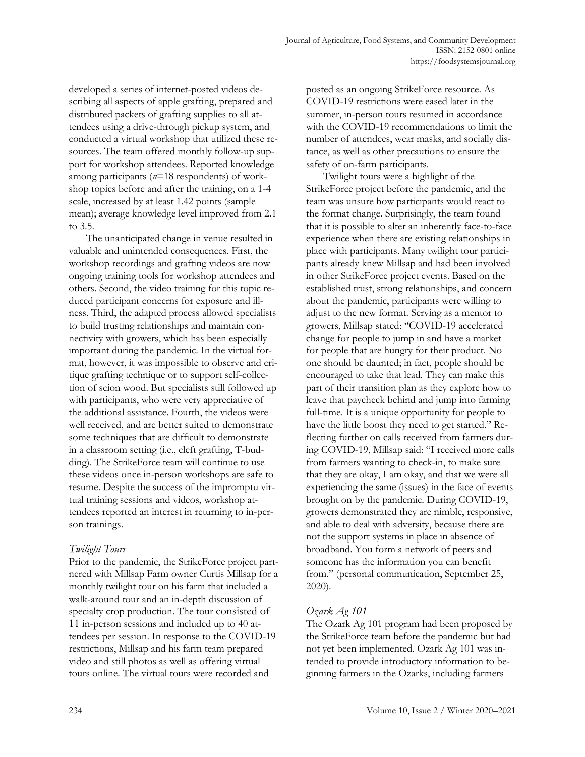developed a series of internet-posted videos describing all aspects of apple grafting, prepared and distributed packets of grafting supplies to all attendees using a drive-through pickup system, and conducted a virtual workshop that utilized these resources. The team offered monthly follow-up support for workshop attendees. Reported knowledge among participants (*n*=18 respondents) of workshop topics before and after the training, on a 1-4 scale, increased by at least 1.42 points (sample mean); average knowledge level improved from 2.1 to 3.5.

The unanticipated change in venue resulted in valuable and unintended consequences. First, the workshop recordings and grafting videos are now ongoing training tools for workshop attendees and others. Second, the video training for this topic reduced participant concerns for exposure and illness. Third, the adapted process allowed specialists to build trusting relationships and maintain connectivity with growers, which has been especially important during the pandemic. In the virtual format, however, it was impossible to observe and critique grafting technique or to support self-collection of scion wood. But specialists still followed up with participants, who were very appreciative of the additional assistance. Fourth, the videos were well received, and are better suited to demonstrate some techniques that are difficult to demonstrate in a classroom setting (i.e., cleft grafting, T-budding). The StrikeForce team will continue to use these videos once in-person workshops are safe to resume. Despite the success of the impromptu virtual training sessions and videos, workshop attendees reported an interest in returning to in-person trainings.

#### *Twilight Tours*

Prior to the pandemic, the StrikeForce project partnered with Millsap Farm owner Curtis Millsap for a monthly twilight tour on his farm that included a walk-around tour and an in-depth discussion of specialty crop production. The tour consisted of 11 in-person sessions and included up to 40 attendees per session. In response to the COVID-19 restrictions, Millsap and his farm team prepared video and still photos as well as offering virtual tours online. The virtual tours were recorded and

posted as an ongoing StrikeForce resource. As COVID-19 restrictions were eased later in the summer, in-person tours resumed in accordance with the COVID-19 recommendations to limit the number of attendees, wear masks, and socially distance, as well as other precautions to ensure the safety of on-farm participants.

Twilight tours were a highlight of the StrikeForce project before the pandemic, and the team was unsure how participants would react to the format change. Surprisingly, the team found that it is possible to alter an inherently face-to-face experience when there are existing relationships in place with participants. Many twilight tour participants already knew Millsap and had been involved in other StrikeForce project events. Based on the established trust, strong relationships, and concern about the pandemic, participants were willing to adjust to the new format. Serving as a mentor to growers, Millsap stated: "COVID-19 accelerated change for people to jump in and have a market for people that are hungry for their product. No one should be daunted; in fact, people should be encouraged to take that lead. They can make this part of their transition plan as they explore how to leave that paycheck behind and jump into farming full-time. It is a unique opportunity for people to have the little boost they need to get started." Reflecting further on calls received from farmers during COVID-19, Millsap said: "I received more calls from farmers wanting to check-in, to make sure that they are okay, I am okay, and that we were all experiencing the same (issues) in the face of events brought on by the pandemic. During COVID-19, growers demonstrated they are nimble, responsive, and able to deal with adversity, because there are not the support systems in place in absence of broadband. You form a network of peers and someone has the information you can benefit from." (personal communication, September 25, 2020).

# *Ozark Ag 101*

The Ozark Ag 101 program had been proposed by the StrikeForce team before the pandemic but had not yet been implemented. Ozark Ag 101 was intended to provide introductory information to beginning farmers in the Ozarks, including farmers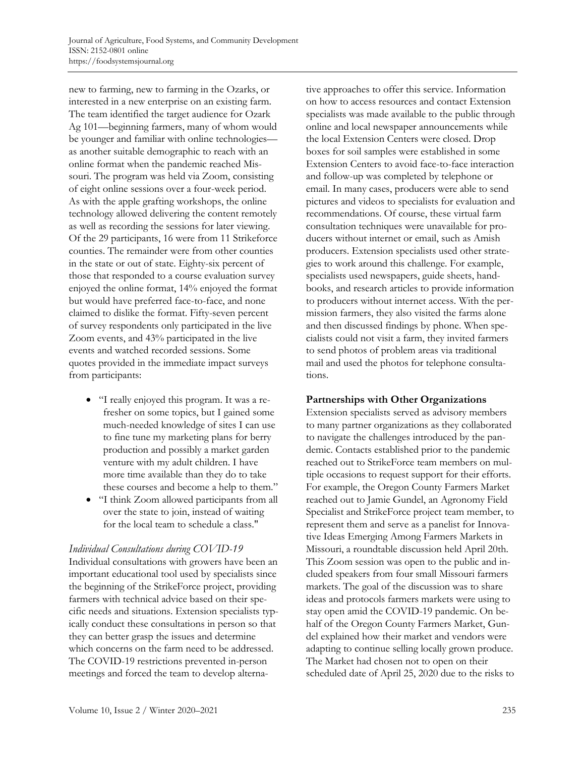new to farming, new to farming in the Ozarks, or interested in a new enterprise on an existing farm. The team identified the target audience for Ozark Ag 101—beginning farmers, many of whom would be younger and familiar with online technologies as another suitable demographic to reach with an online format when the pandemic reached Missouri. The program was held via Zoom, consisting of eight online sessions over a four-week period. As with the apple grafting workshops, the online technology allowed delivering the content remotely as well as recording the sessions for later viewing. Of the 29 participants, 16 were from 11 Strikeforce counties. The remainder were from other counties in the state or out of state. Eighty-six percent of those that responded to a course evaluation survey enjoyed the online format, 14% enjoyed the format but would have preferred face-to-face, and none claimed to dislike the format. Fifty-seven percent of survey respondents only participated in the live Zoom events, and 43% participated in the live events and watched recorded sessions. Some quotes provided in the immediate impact surveys from participants:

- "I really enjoyed this program. It was a refresher on some topics, but I gained some much-needed knowledge of sites I can use to fine tune my marketing plans for berry production and possibly a market garden venture with my adult children. I have more time available than they do to take these courses and become a help to them."
- "I think Zoom allowed participants from all over the state to join, instead of waiting for the local team to schedule a class."

#### *Individual Consultations during COVID-19*

Individual consultations with growers have been an important educational tool used by specialists since the beginning of the StrikeForce project, providing farmers with technical advice based on their specific needs and situations. Extension specialists typically conduct these consultations in person so that they can better grasp the issues and determine which concerns on the farm need to be addressed. The COVID-19 restrictions prevented in-person meetings and forced the team to develop alternative approaches to offer this service. Information on how to access resources and contact Extension specialists was made available to the public through online and local newspaper announcements while the local Extension Centers were closed. Drop boxes for soil samples were established in some Extension Centers to avoid face-to-face interaction and follow-up was completed by telephone or email. In many cases, producers were able to send pictures and videos to specialists for evaluation and recommendations. Of course, these virtual farm consultation techniques were unavailable for producers without internet or email, such as Amish producers. Extension specialists used other strategies to work around this challenge. For example, specialists used newspapers, guide sheets, handbooks, and research articles to provide information to producers without internet access. With the permission farmers, they also visited the farms alone and then discussed findings by phone. When specialists could not visit a farm, they invited farmers to send photos of problem areas via traditional mail and used the photos for telephone consultations.

#### **Partnerships with Other Organizations**

Extension specialists served as advisory members to many partner organizations as they collaborated to navigate the challenges introduced by the pandemic. Contacts established prior to the pandemic reached out to StrikeForce team members on multiple occasions to request support for their efforts. For example, the Oregon County Farmers Market reached out to Jamie Gundel, an Agronomy Field Specialist and StrikeForce project team member, to represent them and serve as a panelist for Innovative Ideas Emerging Among Farmers Markets in Missouri, a roundtable discussion held April 20th*.*  This Zoom session was open to the public and included speakers from four small Missouri farmers markets. The goal of the discussion was to share ideas and protocols farmers markets were using to stay open amid the COVID-19 pandemic. On behalf of the Oregon County Farmers Market, Gundel explained how their market and vendors were adapting to continue selling locally grown produce. The Market had chosen not to open on their scheduled date of April 25, 2020 due to the risks to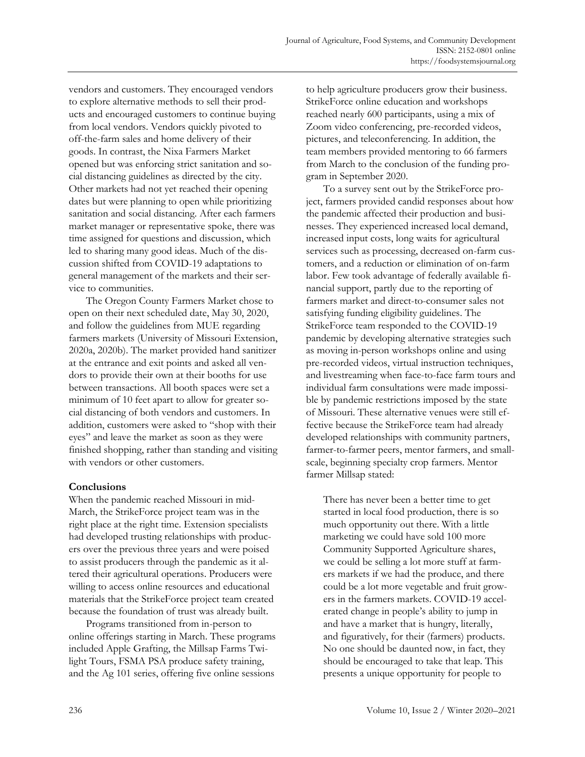vendors and customers. They encouraged vendors to explore alternative methods to sell their products and encouraged customers to continue buying from local vendors. Vendors quickly pivoted to off-the-farm sales and home delivery of their goods. In contrast, the Nixa Farmers Market opened but was enforcing strict sanitation and social distancing guidelines as directed by the city. Other markets had not yet reached their opening dates but were planning to open while prioritizing sanitation and social distancing. After each farmers market manager or representative spoke, there was time assigned for questions and discussion, which led to sharing many good ideas. Much of the discussion shifted from COVID-19 adaptations to general management of the markets and their service to communities.

The Oregon County Farmers Market chose to open on their next scheduled date, May 30, 2020, and follow the guidelines from MUE regarding farmers markets (University of Missouri Extension, 2020a, 2020b). The market provided hand sanitizer at the entrance and exit points and asked all vendors to provide their own at their booths for use between transactions. All booth spaces were set a minimum of 10 feet apart to allow for greater social distancing of both vendors and customers. In addition, customers were asked to "shop with their eyes" and leave the market as soon as they were finished shopping, rather than standing and visiting with vendors or other customers.

#### **Conclusions**

When the pandemic reached Missouri in mid-March, the StrikeForce project team was in the right place at the right time. Extension specialists had developed trusting relationships with producers over the previous three years and were poised to assist producers through the pandemic as it altered their agricultural operations. Producers were willing to access online resources and educational materials that the StrikeForce project team created because the foundation of trust was already built.

Programs transitioned from in-person to online offerings starting in March. These programs included Apple Grafting, the Millsap Farms Twilight Tours, FSMA PSA produce safety training, and the Ag 101 series, offering five online sessions

to help agriculture producers grow their business. StrikeForce online education and workshops reached nearly 600 participants, using a mix of Zoom video conferencing, pre-recorded videos, pictures, and teleconferencing. In addition, the team members provided mentoring to 66 farmers from March to the conclusion of the funding program in September 2020.

To a survey sent out by the StrikeForce project, farmers provided candid responses about how the pandemic affected their production and businesses. They experienced increased local demand, increased input costs, long waits for agricultural services such as processing, decreased on-farm customers, and a reduction or elimination of on-farm labor. Few took advantage of federally available financial support, partly due to the reporting of farmers market and direct-to-consumer sales not satisfying funding eligibility guidelines. The StrikeForce team responded to the COVID-19 pandemic by developing alternative strategies such as moving in-person workshops online and using pre-recorded videos, virtual instruction techniques, and livestreaming when face-to-face farm tours and individual farm consultations were made impossible by pandemic restrictions imposed by the state of Missouri. These alternative venues were still effective because the StrikeForce team had already developed relationships with community partners, farmer-to-farmer peers, mentor farmers, and smallscale, beginning specialty crop farmers. Mentor farmer Millsap stated:

There has never been a better time to get started in local food production, there is so much opportunity out there. With a little marketing we could have sold 100 more Community Supported Agriculture shares, we could be selling a lot more stuff at farmers markets if we had the produce, and there could be a lot more vegetable and fruit growers in the farmers markets. COVID-19 accelerated change in people's ability to jump in and have a market that is hungry, literally, and figuratively, for their (farmers) products. No one should be daunted now, in fact, they should be encouraged to take that leap. This presents a unique opportunity for people to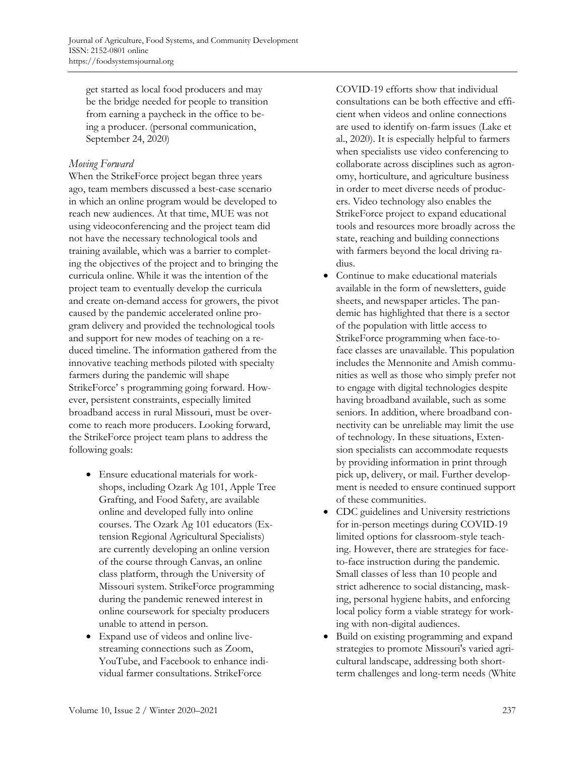get started as local food producers and may be the bridge needed for people to transition from earning a paycheck in the office to being a producer. (personal communication, September 24, 2020)

#### *Moving Forward*

When the StrikeForce project began three years ago, team members discussed a best-case scenario in which an online program would be developed to reach new audiences. At that time, MUE was not using videoconferencing and the project team did not have the necessary technological tools and training available, which was a barrier to completing the objectives of the project and to bringing the curricula online. While it was the intention of the project team to eventually develop the curricula and create on-demand access for growers, the pivot caused by the pandemic accelerated online program delivery and provided the technological tools and support for new modes of teaching on a reduced timeline. The information gathered from the innovative teaching methods piloted with specialty farmers during the pandemic will shape StrikeForce' s programming going forward. However, persistent constraints, especially limited broadband access in rural Missouri, must be overcome to reach more producers. Looking forward, the StrikeForce project team plans to address the following goals:

- Ensure educational materials for workshops, including Ozark Ag 101, Apple Tree Grafting, and Food Safety, are available online and developed fully into online courses. The Ozark Ag 101 educators (Extension Regional Agricultural Specialists) are currently developing an online version of the course through Canvas, an online class platform, through the University of Missouri system. StrikeForce programming during the pandemic renewed interest in online coursework for specialty producers unable to attend in person.
- Expand use of videos and online livestreaming connections such as Zoom, YouTube, and Facebook to enhance individual farmer consultations. StrikeForce

COVID-19 efforts show that individual consultations can be both effective and efficient when videos and online connections are used to identify on-farm issues (Lake et al., 2020). It is especially helpful to farmers when specialists use video conferencing to collaborate across disciplines such as agronomy, horticulture, and agriculture business in order to meet diverse needs of producers. Video technology also enables the StrikeForce project to expand educational tools and resources more broadly across the state, reaching and building connections with farmers beyond the local driving radius.

- Continue to make educational materials available in the form of newsletters, guide sheets, and newspaper articles. The pandemic has highlighted that there is a sector of the population with little access to StrikeForce programming when face-toface classes are unavailable. This population includes the Mennonite and Amish communities as well as those who simply prefer not to engage with digital technologies despite having broadband available, such as some seniors. In addition, where broadband connectivity can be unreliable may limit the use of technology. In these situations, Extension specialists can accommodate requests by providing information in print through pick up, delivery, or mail. Further development is needed to ensure continued support of these communities.
- CDC guidelines and University restrictions for in-person meetings during COVID-19 limited options for classroom-style teaching. However, there are strategies for faceto-face instruction during the pandemic. Small classes of less than 10 people and strict adherence to social distancing, masking, personal hygiene habits, and enforcing local policy form a viable strategy for working with non-digital audiences.
- Build on existing programming and expand strategies to promote Missouri's varied agricultural landscape, addressing both shortterm challenges and long-term needs (White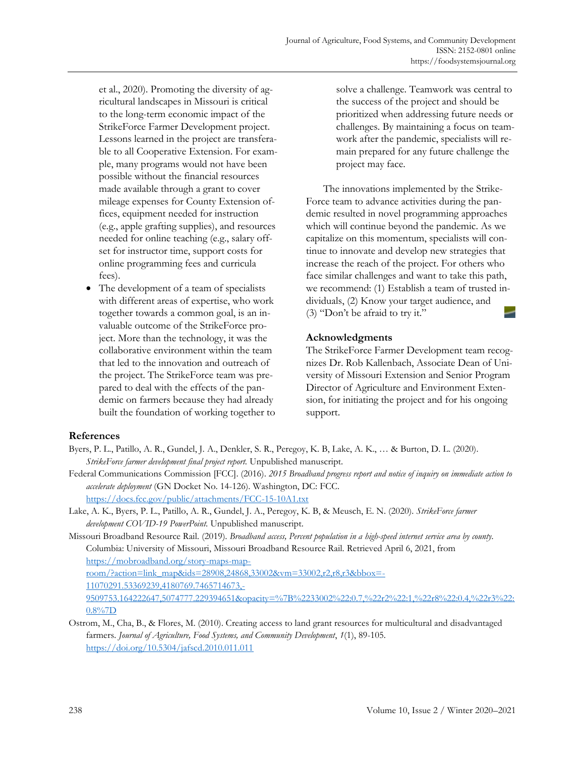et al., 2020). Promoting the diversity of agricultural landscapes in Missouri is critical to the long-term economic impact of the StrikeForce Farmer Development project. Lessons learned in the project are transferable to all Cooperative Extension. For example, many programs would not have been possible without the financial resources made available through a grant to cover mileage expenses for County Extension offices, equipment needed for instruction (e.g., apple grafting supplies), and resources needed for online teaching (e.g., salary offset for instructor time, support costs for online programming fees and curricula fees).

• The development of a team of specialists with different areas of expertise, who work together towards a common goal, is an invaluable outcome of the StrikeForce project. More than the technology, it was the collaborative environment within the team that led to the innovation and outreach of the project. The StrikeForce team was prepared to deal with the effects of the pandemic on farmers because they had already built the foundation of working together to solve a challenge. Teamwork was central to the success of the project and should be prioritized when addressing future needs or challenges. By maintaining a focus on teamwork after the pandemic, specialists will remain prepared for any future challenge the project may face.

The innovations implemented by the Strike-Force team to advance activities during the pandemic resulted in novel programming approaches which will continue beyond the pandemic. As we capitalize on this momentum, specialists will continue to innovate and develop new strategies that increase the reach of the project. For others who face similar challenges and want to take this path, we recommend: (1) Establish a team of trusted individuals, (2) Know your target audience, and (3) "Don't be afraid to try it."

#### **Acknowledgments**

The StrikeForce Farmer Development team recognizes Dr. Rob Kallenbach, Associate Dean of University of Missouri Extension and Senior Program Director of Agriculture and Environment Extension, for initiating the project and for his ongoing support.

#### **References**

- Byers, P. L., Patillo, A. R., Gundel, J. A., Denkler, S. R., Peregoy, K. B, Lake, A. K., … & Burton, D. L. (2020). *StrikeForce farmer development final project report.* Unpublished manuscript.
- Federal Communications Commission [FCC]. (2016). *2015 Broadband progress report and notice of inquiry on immediate action to accelerate deployment* (GN Docket No. 14-126)*.* Washington, DC: FCC. <https://docs.fcc.gov/public/attachments/FCC-15-10A1.txt>
- Lake, A. K., Byers, P. L., Patillo, A. R., Gundel, J. A., Peregoy, K. B, & Meusch, E. N. (2020). *StrikeForce farmer development COVID-19 PowerPoint.* Unpublished manuscript.

Missouri Broadband Resource Rail. (2019). *Broadband access, Percent population in a high-speed internet service area by county.* Columbia: University of Missouri, Missouri Broadband Resource Rail. Retrieved April 6, 2021, from https://mobroadband.org/story-maps-maproom/?action=link\_map&ids=28908,24868,33002&vm=33002,r2,r8,r3&bbox=- 11070291.53369239,4180769.7465714673,- [9509753.164222647,5074777.229394651&opacity=%7B%2233002%22:0.7,%22r2%22:1,%22r8%22:0.4,%22r3%22:](https://mobroadband.org/story-maps-map-room/?action=link_map&ids=28908,24868,33002&vm=33002,r2,r8,r3&bbox=-11070291.53369239,4180769.7465714673,-9509753.164222647,5074777.229394651&opacity=%7B%2233002%22:0.7,%22r2%22:1,%22r8%22:0.4,%22r3%22:0.8%7D) 0.8%7D

Ostrom, M., Cha, B., & Flores, M. (2010). Creating access to land grant resources for multicultural and disadvantaged farmers. *Journal of Agriculture, Food Systems, and Community Development*, *1*(1), 89-105. <https://doi.org/10.5304/jafscd.2010.011.011>